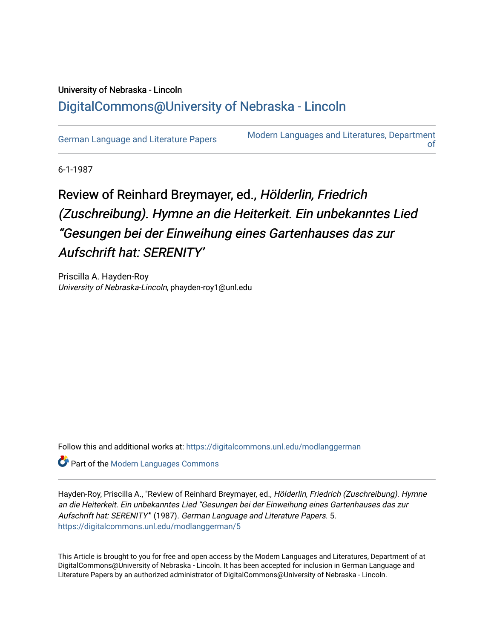## University of Nebraska - Lincoln [DigitalCommons@University of Nebraska - Lincoln](https://digitalcommons.unl.edu/)

[German Language and Literature Papers](https://digitalcommons.unl.edu/modlanggerman) [Modern Languages and Literatures, Department](https://digitalcommons.unl.edu/modernlanguages)  [of](https://digitalcommons.unl.edu/modernlanguages) 

6-1-1987

## Review of Reinhard Breymayer, ed., Hölderlin, Friedrich (Zuschreibung). Hymne an die Heiterkeit. Ein unbekanntes Lied "Gesungen bei der Einweihung eines Gartenhauses das zur Aufschrift hat: SERENITY'

Priscilla A. Hayden-Roy University of Nebraska-Lincoln, phayden-roy1@unl.edu

Follow this and additional works at: [https://digitalcommons.unl.edu/modlanggerman](https://digitalcommons.unl.edu/modlanggerman?utm_source=digitalcommons.unl.edu%2Fmodlanggerman%2F5&utm_medium=PDF&utm_campaign=PDFCoverPages) 

**Part of the Modern Languages Commons** 

Hayden-Roy, Priscilla A., "Review of Reinhard Breymayer, ed., Hölderlin, Friedrich (Zuschreibung). Hymne an die Heiterkeit. Ein unbekanntes Lied "Gesungen bei der Einweihung eines Gartenhauses das zur Aufschrift hat: SERENITY'" (1987). German Language and Literature Papers. 5. [https://digitalcommons.unl.edu/modlanggerman/5](https://digitalcommons.unl.edu/modlanggerman/5?utm_source=digitalcommons.unl.edu%2Fmodlanggerman%2F5&utm_medium=PDF&utm_campaign=PDFCoverPages) 

This Article is brought to you for free and open access by the Modern Languages and Literatures, Department of at DigitalCommons@University of Nebraska - Lincoln. It has been accepted for inclusion in German Language and Literature Papers by an authorized administrator of DigitalCommons@University of Nebraska - Lincoln.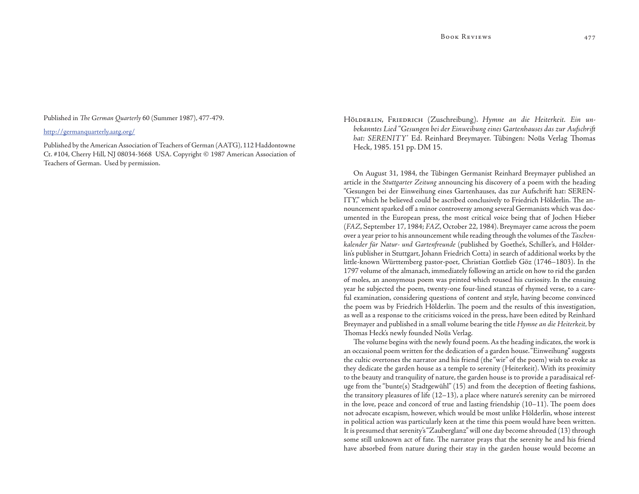Published in *The German Quarterly* 60 (Summer 1987), 477-479.

## http://germanquarterly.aatg.org/

Published by the American Association of Teachers of German (AATG), 112 Haddontowne Ct. #104, Cherry Hill, NJ 08034-3668 USA. Copyright © 1987 American Association of Teachers of German. Used by permission.

HöLDERLIN, FRIEDRICH (Zuschreibung). Hymne an die Heiterkeit. Ein un*bekanntes Lied "Gesungen bei der Einweihung eines Gartenhauses das zur Aufschrift*  hat: SERENITY' Ed. Reinhard Breymayer. Tübingen: Nous Verlag Thomas Heck, 1985. 151 pp. DM 15.

On August 31, 1984, the Tübingen Germanist Reinhard Breymayer published an article in the *Stuttgarter Zeitung* announcing his discovery of a poem with the heading "Gesungen bei der Einweihung eines Gartenhauses, das zur Aufschrift hat: SEREN-ITY," which he believed could be ascribed conclusively to Friedrich Hölderlin. The announcement sparked off a minor controversy among several Germanists which was documented in the European press, the most critical voice being that of Jochen Hieber (*FAZ*, September 17, 1984; *FAZ*, October 22, 1984). Breymayer came across the poem over a year prior to his announcement while reading through the volumes of the *Taschenkalender für Natur- und Gartenfreunde* (published by Goethe's, Schiller's, and Hölderlin's publisher in Stuttgart, Johann Friedrich Cotta) in search of additional works by the little-known Württemberg pastor-poet, Christian Gottlieb Göz (1746–1803). In the 1797 volume of the almanach, immediately following an article on how to rid the garden of moles, an anonymous poem was printed which roused his curiosity. In the ensuing year he subjected the poem, twenty-one four-lined stanzas of rhymed verse, to a careful examination, considering questions of content and style, having become convinced the poem was by Friedrich Hölderlin. The poem and the results of this investigation, as well as a response to the criticisms voiced in the press, have been edited by Reinhard Breymayer and published in a small volume bearing the title *Hymne an die Heiterkeit,* by Thomas Heck's newly founded Nous Verlag.

The volume begins with the newly found poem. As the heading indicates, the work is an occasional poem written for the dedication of a garden house. "Einweihung" suggests the cultic overtones the narrator and his friend (the "wir" of the poem) wish to evoke as they dedicate the garden house as a temple to serenity (Heiterkeit). With its proximity to the beauty and tranquility of nature, the garden house is to provide a paradisaical refuge from the "bunte(s) Stadtgewühl" (15) and from the deception of fleeting fashions, the transitory pleasures of life (12–13), a place where nature's serenity can be mirrored in the love, peace and concord of true and lasting friendship  $(10-11)$ . The poem does not advocate escapism, however, which would be most unlike Hölderlin, whose interest in political action was particularly keen at the time this poem would have been written. It is presumed that serenity's "Zauberglanz" will one day become shrouded (13) through some still unknown act of fate. The narrator prays that the serenity he and his friend have absorbed from nature during their stay in the garden house would become an